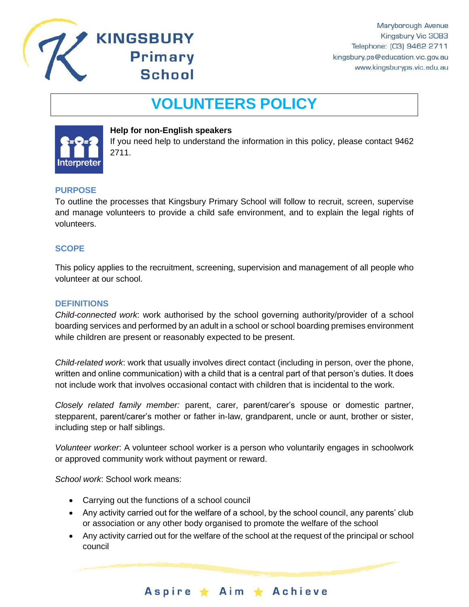

# **VOLUNTEERS POLICY**



# **Help for non-English speakers**

**KINGSBURY** 

**Primary** 

**School** 

If you need help to understand the information in this policy, please contact 9462 2711.

# **PURPOSE**

To outline the processes that Kingsbury Primary School will follow to recruit, screen, supervise and manage volunteers to provide a child safe environment, and to explain the legal rights of volunteers.

# **SCOPE**

This policy applies to the recruitment, screening, supervision and management of all people who volunteer at our school.

## **DEFINITIONS**

*Child-connected work*: work authorised by the school governing authority/provider of a school boarding services and performed by an adult in a school or school boarding premises environment while children are present or reasonably expected to be present.

*Child-related work*: work that usually involves direct contact (including in person, over the phone, written and online communication) with a child that is a central part of that person's duties. It does not include work that involves occasional contact with children that is incidental to the work.

*Closely related family member:* parent, carer, parent/carer's spouse or domestic partner, stepparent, parent/carer's mother or father in-law, grandparent, uncle or aunt, brother or sister, including step or half siblings.

*Volunteer worker*: A volunteer school worker is a person who voluntarily engages in schoolwork or approved community work without payment or reward.

*School work*: School work means:

- Carrying out the functions of a school council
- Any activity carried out for the welfare of a school, by the school council, any parents' club or association or any other body organised to promote the welfare of the school
- Any activity carried out for the welfare of the school at the request of the principal or school council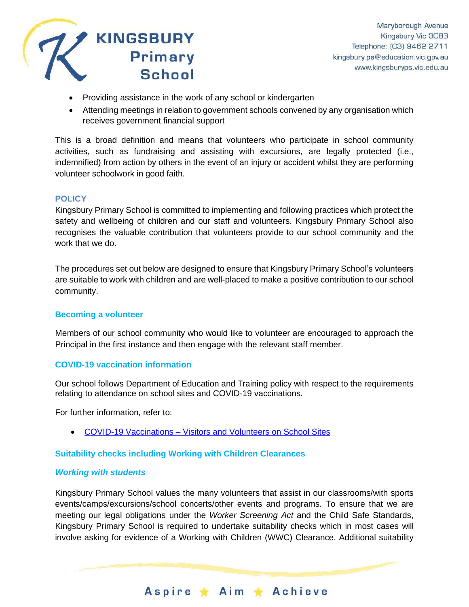

- Providing assistance in the work of any school or kindergarten
- Attending meetings in relation to government schools convened by any organisation which receives government financial support

This is a broad definition and means that volunteers who participate in school community activities, such as fundraising and assisting with excursions, are legally protected (i.e., indemnified) from action by others in the event of an injury or accident whilst they are performing volunteer schoolwork in good faith.

## **POLICY**

Kingsbury Primary School is committed to implementing and following practices which protect the safety and wellbeing of children and our staff and volunteers. Kingsbury Primary School also recognises the valuable contribution that volunteers provide to our school community and the work that we do.

The procedures set out below are designed to ensure that Kingsbury Primary School's volunteers are suitable to work with children and are well-placed to make a positive contribution to our school community.

## **Becoming a volunteer**

Members of our school community who would like to volunteer are encouraged to approach the Principal in the first instance and then engage with the relevant staff member.

## **COVID-19 vaccination information**

Our school follows Department of Education and Training policy with respect to the requirements relating to attendance on school sites and COVID-19 vaccinations.

For further information, refer to:

• COVID-19 Vaccinations – [Visitors and Volunteers on School Sites](https://www2.education.vic.gov.au/pal/covid-19-vaccinations-visitors-volunteers/policy)

## **Suitability checks including Working with Children Clearances**

## *Working with students*

Kingsbury Primary School values the many volunteers that assist in our classrooms/with sports events/camps/excursions/school concerts/other events and programs. To ensure that we are meeting our legal obligations under the *Worker Screening Act* and the Child Safe Standards, Kingsbury Primary School is required to undertake suitability checks which in most cases will involve asking for evidence of a Working with Children (WWC) Clearance. Additional suitability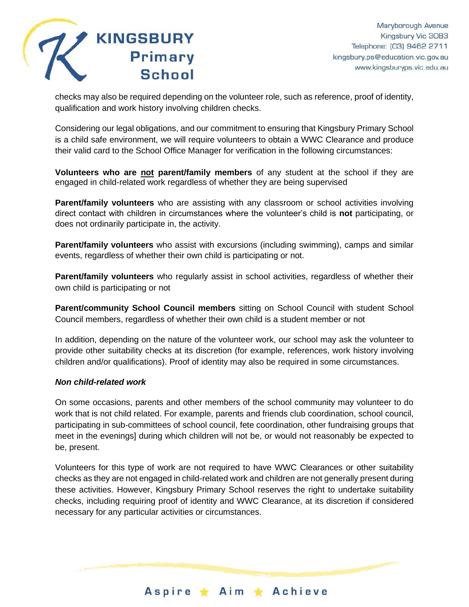

checks may also be required depending on the volunteer role, such as reference, proof of identity, qualification and work history involving children checks.

Considering our legal obligations, and our commitment to ensuring that Kingsbury Primary School is a child safe environment, we will require volunteers to obtain a WWC Clearance and produce their valid card to the School Office Manager for verification in the following circumstances:

**Volunteers who are not parent/family members** of any student at the school if they are engaged in child-related work regardless of whether they are being supervised

**Parent/family volunteers** who are assisting with any classroom or school activities involving direct contact with children in circumstances where the volunteer's child is **not** participating, or does not ordinarily participate in, the activity.

**Parent/family volunteers** who assist with excursions (including swimming), camps and similar events, regardless of whether their own child is participating or not.

**Parent/family volunteers** who regularly assist in school activities, regardless of whether their own child is participating or not

**Parent/community School Council members** sitting on School Council with student School Council members, regardless of whether their own child is a student member or not

In addition, depending on the nature of the volunteer work, our school may ask the volunteer to provide other suitability checks at its discretion (for example, references, work history involving children and/or qualifications). Proof of identity may also be required in some circumstances.

## *Non child-related work*

On some occasions, parents and other members of the school community may volunteer to do work that is not child related. For example, parents and friends club coordination, school council, participating in sub-committees of school council, fete coordination, other fundraising groups that meet in the evenings] during which children will not be, or would not reasonably be expected to be, present.

Volunteers for this type of work are not required to have WWC Clearances or other suitability checks as they are not engaged in child-related work and children are not generally present during these activities. However, Kingsbury Primary School reserves the right to undertake suitability checks, including requiring proof of identity and WWC Clearance, at its discretion if considered necessary for any particular activities or circumstances.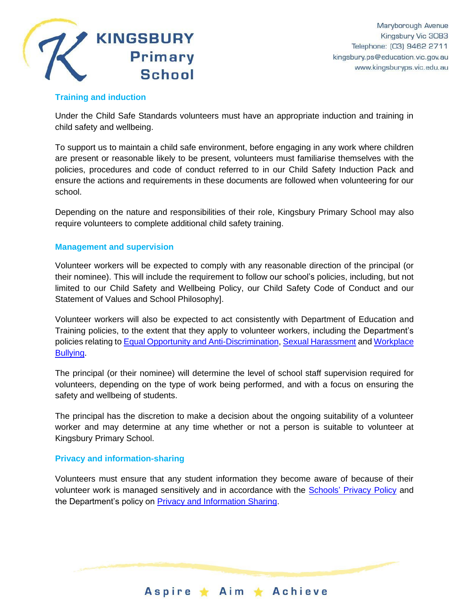

# **Training and induction**

Under the Child Safe Standards volunteers must have an appropriate induction and training in child safety and wellbeing.

To support us to maintain a child safe environment, before engaging in any work where children are present or reasonable likely to be present, volunteers must familiarise themselves with the policies, procedures and code of conduct referred to in our Child Safety Induction Pack and ensure the actions and requirements in these documents are followed when volunteering for our school.

Depending on the nature and responsibilities of their role, Kingsbury Primary School may also require volunteers to complete additional child safety training.

## **Management and supervision**

Volunteer workers will be expected to comply with any reasonable direction of the principal (or their nominee). This will include the requirement to follow our school's policies, including, but not limited to our Child Safety and Wellbeing Policy, our Child Safety Code of Conduct and our Statement of Values and School Philosophy].

Volunteer workers will also be expected to act consistently with Department of Education and Training policies, to the extent that they apply to volunteer workers, including the Department's policies relating t[o Equal Opportunity and Anti-Discrimination,](https://www2.education.vic.gov.au/pal/equal-opportunity/policy-and-guidelines) [Sexual Harassment](https://www2.education.vic.gov.au/pal/sexual-harassment/overview) and [Workplace](https://www2.education.vic.gov.au/pal/workplace-bullying/policy)  [Bullying.](https://www2.education.vic.gov.au/pal/workplace-bullying/policy)

The principal (or their nominee) will determine the level of school staff supervision required for volunteers, depending on the type of work being performed, and with a focus on ensuring the safety and wellbeing of students.

The principal has the discretion to make a decision about the ongoing suitability of a volunteer worker and may determine at any time whether or not a person is suitable to volunteer at Kingsbury Primary School.

## **Privacy and information-sharing**

Volunteers must ensure that any student information they become aware of because of their volunteer work is managed sensitively and in accordance with the Schools' [Privacy Policy](https://www.education.vic.gov.au/Pages/schoolsprivacypolicy.aspx) and the Department's policy on **Privacy and Information Sharing.**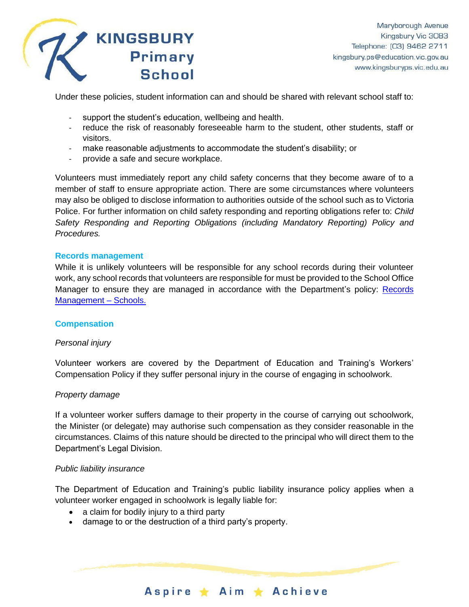

Under these policies, student information can and should be shared with relevant school staff to:

- support the student's education, wellbeing and health.
- reduce the risk of reasonably foreseeable harm to the student, other students, staff or visitors.
- make reasonable adjustments to accommodate the student's disability; or
- provide a safe and secure workplace.

Volunteers must immediately report any child safety concerns that they become aware of to a member of staff to ensure appropriate action. There are some circumstances where volunteers may also be obliged to disclose information to authorities outside of the school such as to Victoria Police. For further information on child safety responding and reporting obligations refer to: *Child Safety Responding and Reporting Obligations (including Mandatory Reporting) Policy and Procedures.* 

## **Records management**

While it is unlikely volunteers will be responsible for any school records during their volunteer work, any school records that volunteers are responsible for must be provided to the School Office Manager to ensure they are managed in accordance with the Department's policy: [Records](https://www2.education.vic.gov.au/pal/records-management/policy)  [Management –](https://www2.education.vic.gov.au/pal/records-management/policy) Schools.

## **Compensation**

## *Personal injury*

Volunteer workers are covered by the Department of Education and Training's Workers' Compensation Policy if they suffer personal injury in the course of engaging in schoolwork.

## *Property damage*

If a volunteer worker suffers damage to their property in the course of carrying out schoolwork, the Minister (or delegate) may authorise such compensation as they consider reasonable in the circumstances. Claims of this nature should be directed to the principal who will direct them to the Department's Legal Division.

## *Public liability insurance*

The Department of Education and Training's public liability insurance policy applies when a volunteer worker engaged in schoolwork is legally liable for:

- a claim for bodily injury to a third party
- damage to or the destruction of a third party's property.